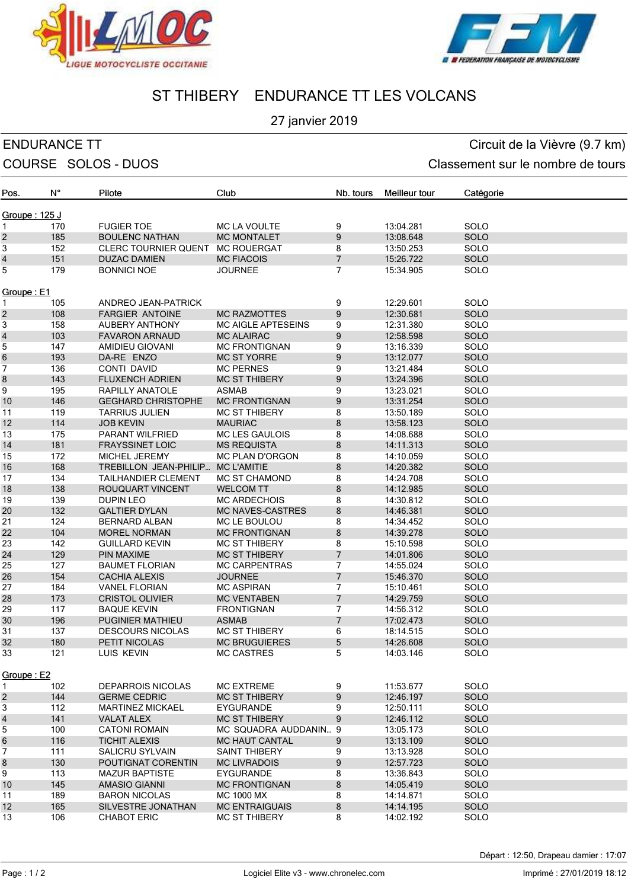



# ST THIBERY ENDURANCE TT LES VOLCANS

## 27 janvier 2019

ENDURANCE TT CIRCUIT CONTROLLER EN CIRCUIT CIRCUIT CIRCUIT CIRCUIT CIRCUIT CIRCUIT CIRCUIT CIRCUIT CIRCUIT CIRCUIT CIRCUIT CIRCUIT CIRCUIT CIRCUIT CIRCUIT CIRCUIT CIRCUIT CIRCUIT CIRCUIT CIRCUIT CIRCUIT CIRCUIT CIRCUIT CIR COURSE SOLOS - DUOS COURSE SOLOS - DUOS

| Pos.                     | N°  | Pilote                                          | Club                                           | Nb. tours      | Meilleur tour          | Catégorie                  |
|--------------------------|-----|-------------------------------------------------|------------------------------------------------|----------------|------------------------|----------------------------|
| Groupe: 125 J            |     |                                                 |                                                |                |                        |                            |
| 1                        | 170 | <b>FUGIER TOE</b>                               | <b>MC LA VOULTE</b>                            | 9              | 13:04.281              | SOLO                       |
| $\overline{\mathbf{c}}$  | 185 | <b>BOULENC NATHAN</b>                           | <b>MC MONTALET</b>                             | 9              | 13:08.648              | SOLO                       |
| 3                        | 152 | <b>CLERC TOURNIER QUENT</b>                     | <b>MC ROUERGAT</b>                             | 8              | 13:50.253              | SOLO                       |
| $\overline{\mathcal{L}}$ | 151 | <b>DUZAC DAMIEN</b>                             | <b>MC FIACOIS</b>                              | $\overline{7}$ | 15:26.722              | <b>SOLO</b>                |
| 5                        | 179 | <b>BONNICI NOE</b>                              | <b>JOURNEE</b>                                 | 7              | 15:34.905              | SOLO                       |
|                          |     |                                                 |                                                |                |                        |                            |
| Groupe: E1               |     |                                                 |                                                |                |                        |                            |
| 1                        | 105 | ANDREO JEAN-PATRICK                             |                                                | 9              | 12:29.601              | SOLO                       |
| $\overline{\mathbf{c}}$  | 108 | <b>FARGIER ANTOINE</b>                          | <b>MC RAZMOTTES</b>                            | 9              | 12:30.681              | SOLO                       |
| 3                        | 158 | <b>AUBERY ANTHONY</b>                           | <b>MC AIGLE APTESEINS</b>                      | 9              | 12:31.380              | SOLO                       |
| $\overline{\mathcal{L}}$ | 103 | <b>FAVARON ARNAUD</b>                           | <b>MC ALAIRAC</b>                              | 9              | 12:58.598              | SOLO                       |
| 5                        | 147 | AMIDIEU GIOVANI                                 | <b>MC FRONTIGNAN</b>                           | 9              | 13:16.339              | SOLO                       |
| 6                        | 193 | DA-RE ENZO                                      | <b>MC ST YORRE</b>                             | 9              | 13:12.077              | SOLO                       |
| $\overline{7}$           | 136 | CONTI DAVID                                     | <b>MC PERNES</b>                               | 9              | 13:21.484              | SOLO                       |
| $\bf8$                   | 143 | <b>FLUXENCH ADRIEN</b>                          | <b>MC ST THIBERY</b>                           | 9              | 13:24.396              | SOLO                       |
| 9                        | 195 | <b>RAPILLY ANATOLE</b>                          | <b>ASMAB</b>                                   | 9              | 13:23.021              | SOLO                       |
| 10                       | 146 | <b>GEGHARD CHRISTOPHE</b>                       | <b>MC FRONTIGNAN</b>                           | 9              | 13:31.254              | SOLO                       |
| 11                       | 119 | <b>TARRIUS JULIEN</b>                           | <b>MC ST THIBERY</b>                           | 8              | 13:50.189              | SOLO                       |
| 12                       | 114 | <b>JOB KEVIN</b>                                | <b>MAURIAC</b>                                 | 8              | 13:58.123              | <b>SOLO</b>                |
| 13                       | 175 | PARANT WILFRIED                                 | <b>MC LES GAULOIS</b>                          | 8              | 14:08.688              | SOLO                       |
| 14                       | 181 | <b>FRAYSSINET LOIC</b>                          | <b>MS REQUISTA</b>                             | 8              | 14:11.313              | SOLO                       |
| 15                       | 172 | MICHEL JEREMY                                   | MC PLAN D'ORGON                                | 8              | 14:10.059              | SOLO                       |
| 16                       | 168 | TREBILLON JEAN-PHILIP                           | <b>MC L'AMITIE</b>                             | 8              | 14:20.382              | SOLO                       |
| 17                       | 134 | <b>TAILHANDIER CLEMENT</b>                      | <b>MC ST CHAMOND</b>                           | 8              | 14:24.708              | SOLO                       |
| 18                       | 138 | <b>ROUQUART VINCENT</b>                         | <b>WELCOM TT</b>                               | 8              | 14:12.985              | SOLO                       |
| 19                       | 139 | DUPIN LEO                                       | <b>MC ARDECHOIS</b>                            | 8              | 14:30.812              | SOLO                       |
| 20                       | 132 | <b>GALTIER DYLAN</b>                            | <b>MC NAVES-CASTRES</b>                        | 8              | 14:46.381              | <b>SOLO</b>                |
| 21                       | 124 | <b>BERNARD ALBAN</b>                            | MC LE BOULOU                                   | 8              | 14:34.452              | SOLO                       |
| 22                       | 104 | <b>MOREL NORMAN</b>                             | <b>MC FRONTIGNAN</b>                           | 8              | 14:39.278              | SOLO                       |
| 23                       | 142 | <b>GUILLARD KEVIN</b>                           | <b>MC ST THIBERY</b>                           | 8              | 15:10.598              | SOLO                       |
| 24                       | 129 | <b>PIN MAXIME</b>                               | <b>MC ST THIBERY</b>                           | $\overline{7}$ | 14:01.806              | SOLO                       |
| 25                       | 127 | <b>BAUMET FLORIAN</b>                           | <b>MC CARPENTRAS</b>                           | 7              | 14:55.024              | SOLO                       |
| 26                       | 154 | <b>CACHIA ALEXIS</b>                            | <b>JOURNEE</b>                                 | $\overline{7}$ | 15:46.370              | SOLO                       |
| 27                       | 184 | <b>VANEL FLORIAN</b>                            | <b>MC ASPIRAN</b>                              | 7              | 15:10.461              | SOLO                       |
| 28                       | 173 | <b>CRISTOL OLIVIER</b>                          | <b>MC VENTABEN</b>                             | $\overline{7}$ | 14:29.759              | SOLO                       |
| 29                       | 117 | <b>BAQUE KEVIN</b>                              | <b>FRONTIGNAN</b>                              | 7              | 14:56.312              | SOLO                       |
| 30                       | 196 | <b>PUGINIER MATHIEU</b>                         | <b>ASMAB</b>                                   | $\overline{7}$ | 17:02.473              | SOLO                       |
| 31                       | 137 | <b>DESCOURS NICOLAS</b>                         | <b>MC ST THIBERY</b>                           | 6              | 18:14.515              | SOLO                       |
| 32                       | 180 | PETIT NICOLAS                                   | <b>MC BRUGUIERES</b>                           | 5              | 14:26.608              | <b>SOLO</b>                |
| 33                       | 121 | <b>LUIS KEVIN</b>                               | <b>MC CASTRES</b>                              | 5              | 14:03.146              | SOLO                       |
| Groupe: E2               |     |                                                 |                                                |                |                        |                            |
|                          | 102 |                                                 |                                                |                | 11:53.677              | SOLO                       |
| 1<br>$\overline{c}$      | 144 | <b>DEPARROIS NICOLAS</b><br><b>GERME CEDRIC</b> | <b>MC EXTREME</b><br><b>MC ST THIBERY</b>      | 9<br>9         | 12:46.197              | <b>SOLO</b>                |
| 3                        | 112 | <b>MARTINEZ MICKAEL</b>                         | <b>EYGURANDE</b>                               | 9              | 12:50.111              | SOLO                       |
| $\overline{\mathbf{r}}$  | 141 | <b>VALAT ALEX</b>                               | <b>MC ST THIBERY</b>                           | 9              | 12:46.112              | SOLO                       |
| 5                        | 100 |                                                 |                                                |                |                        | SOLO                       |
| $\,6$                    | 116 | <b>CATONI ROMAIN</b><br><b>TICHIT ALEXIS</b>    | MC SQUADRA AUDDANIN 9<br><b>MC HAUT CANTAL</b> | 9              | 13:05.173<br>13:13.109 | <b>SOLO</b>                |
| 7                        | 111 | <b>SALICRU SYLVAIN</b>                          | <b>SAINT THIBERY</b>                           | 9              | 13:13.928              | SOLO                       |
| 8                        | 130 | POUTIGNAT CORENTIN                              | <b>MC LIVRADOIS</b>                            | 9              | 12:57.723              | <b>SOLO</b>                |
| 9                        | 113 |                                                 |                                                |                |                        | SOLO                       |
| 10                       | 145 | <b>MAZUR BAPTISTE</b><br>AMASIO GIANNI          | <b>EYGURANDE</b><br><b>MC FRONTIGNAN</b>       | 8<br>8         | 13:36.843<br>14:05.419 | <b>SOLO</b>                |
| 11                       | 189 |                                                 |                                                | 8              |                        |                            |
| 12                       | 165 | <b>BARON NICOLAS</b><br>SILVESTRE JONATHAN      | MC 1000 MX<br><b>MC ENTRAIGUAIS</b>            | 8              | 14:14.871<br>14:14.195 | <b>SOLO</b><br><b>SOLO</b> |
| 13                       | 106 | <b>CHABOT ERIC</b>                              | <b>MC ST THIBERY</b>                           | 8              | 14:02.192              | SOLO                       |
|                          |     |                                                 |                                                |                |                        |                            |

Départ : 12:50, Drapeau damier : 17:07